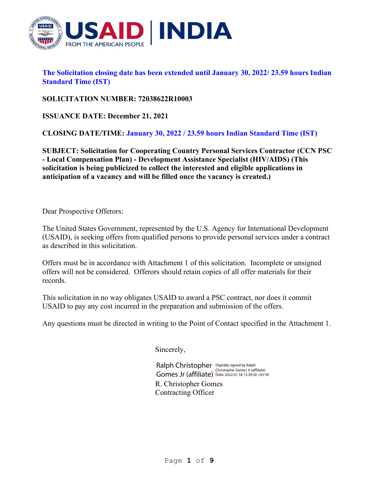

**The Solicitation closing date has been extended until January 30, 2022/ 23.59 hours Indian Standard Time (IST)**

**SOLICITATION NUMBER: 72038622R10003**

**ISSUANCE DATE: December 21, 2021**

**CLOSING DATE/TIME: January 30, 2022 / 23.59 hours Indian Standard Time (IST)**

**SUBJECT: Solicitation for Cooperating Country Personal Services Contractor (CCN PSC - Local Compensation Plan) - Development Assistance Specialist (HIV/AIDS) (This solicitation is being publicized to collect the interested and eligible applications in anticipation of a vacancy and will be filled once the vacancy is created.)**

Dear Prospective Offerors:

The United States Government, represented by the U.S. Agency for International Development (USAID), is seeking offers from qualified persons to provide personal services under a contract as described in this solicitation.

Offers must be in accordance with Attachment 1 of this solicitation. Incomplete or unsigned offers will not be considered. Offerors should retain copies of all offer materials for their records.

This solicitation in no way obligates USAID to award a PSC contract, nor does it commit USAID to pay any cost incurred in the preparation and submission of the offers.

Any questions must be directed in writing to the Point of Contact specified in the Attachment 1.

Sincerely,

R. Christopher Gomes Contracting Officer Ralph Christopher Digitally signed by Ralph Christopher Gomes Jr (affiliate)<br>
Gomes Jr (affiliate) Date: 2022.01.18 13:39:30 +05'30'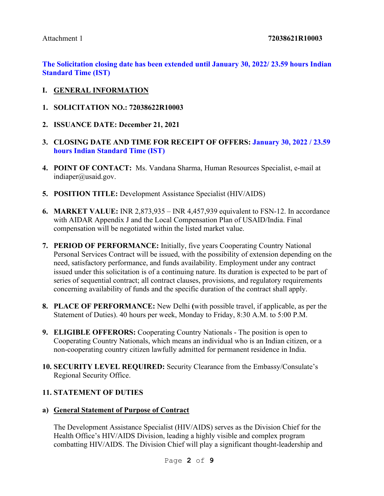#### Attachment 1 **72038621R10003**

**The Solicitation closing date has been extended until January 30, 2022/ 23.59 hours Indian Standard Time (IST)**

- **I. GENERAL INFORMATION**
- **1. SOLICITATION NO.: 72038622R10003**
- **2. ISSUANCE DATE: December 21, 2021**
- **3. CLOSING DATE AND TIME FOR RECEIPT OF OFFERS: January 30, 2022 / 23.59 hours Indian Standard Time (IST)**
- **4. POINT OF CONTACT:** Ms. Vandana Sharma, Human Resources Specialist, e-mail at [indiaper@usaid.gov.](mailto:indiaper@usaid.gov)
- **5. POSITION TITLE:** Development Assistance Specialist (HIV/AIDS)
- **6. MARKET VALUE:** INR 2,873,935 INR 4,457,939 equivalent to FSN-12. In accordance with AIDAR Appendix J and the Local Compensation Plan of USAID/India. Final compensation will be negotiated within the listed market value.
- **7. PERIOD OF PERFORMANCE:** Initially, five years Cooperating Country National Personal Services Contract will be issued, with the possibility of extension depending on the need, satisfactory performance, and funds availability. Employment under any contract issued under this solicitation is of a continuing nature. Its duration is expected to be part of series of sequential contract; all contract clauses, provisions, and regulatory requirements concerning availability of funds and the specific duration of the contract shall apply.
- **8. PLACE OF PERFORMANCE:** New Delhi **(**with possible travel, if applicable, as per the Statement of Duties). 40 hours per week, Monday to Friday, 8:30 A.M. to 5:00 P.M.
- **9. ELIGIBLE OFFERORS:** Cooperating Country Nationals The position is open to Cooperating Country Nationals, which means an individual who is an Indian citizen, or a non-cooperating country citizen lawfully admitted for permanent residence in India.
- **10. SECURITY LEVEL REQUIRED:** Security Clearance from the Embassy/Consulate's Regional Security Office.

#### **11. STATEMENT OF DUTIES**

**a) General Statement of Purpose of Contract**

The Development Assistance Specialist (HIV/AIDS) serves as the Division Chief for the Health Office's HIV/AIDS Division, leading a highly visible and complex program combatting HIV/AIDS. The Division Chief will play a significant thought-leadership and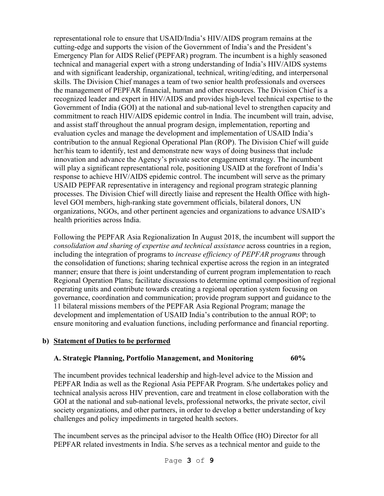representational role to ensure that USAID/India's HIV/AIDS program remains at the cutting-edge and supports the vision of the Government of India's and the President's Emergency Plan for AIDS Relief (PEPFAR) program. The incumbent is a highly seasoned technical and managerial expert with a strong understanding of India's HIV/AIDS systems and with significant leadership, organizational, technical, writing/editing, and interpersonal skills. The Division Chief manages a team of two senior health professionals and oversees the management of PEPFAR financial, human and other resources. The Division Chief is a recognized leader and expert in HIV/AIDS and provides high-level technical expertise to the Government of India (GOI) at the national and sub-national level to strengthen capacity and commitment to reach HIV/AIDS epidemic control in India. The incumbent will train, advise, and assist staff throughout the annual program design, implementation, reporting and evaluation cycles and manage the development and implementation of USAID India's contribution to the annual Regional Operational Plan (ROP). The Division Chief will guide her/his team to identify, test and demonstrate new ways of doing business that include innovation and advance the Agency's private sector engagement strategy. The incumbent will play a significant representational role, positioning USAID at the forefront of India's response to achieve HIV/AIDS epidemic control. The incumbent will serve as the primary USAID PEPFAR representative in interagency and regional program strategic planning processes. The Division Chief will directly liaise and represent the Health Office with highlevel GOI members, high-ranking state government officials, bilateral donors, UN organizations, NGOs, and other pertinent agencies and organizations to advance USAID's health priorities across India.

Following the PEPFAR Asia Regionalization In August 2018, the incumbent will support the *consolidation and sharing of expertise and technical assistance* across countries in a region, including the integration of programs to *increase efficiency of PEPFAR programs* through the consolidation of functions; sharing technical expertise across the region in an integrated manner; ensure that there is joint understanding of current program implementation to reach Regional Operation Plans; facilitate discussions to determine optimal composition of regional operating units and contribute towards creating a regional operation system focusing on governance, coordination and communication; provide program support and guidance to the 11 bilateral missions members of the PEPFAR Asia Regional Program; manage the development and implementation of USAID India's contribution to the annual ROP; to ensure monitoring and evaluation functions, including performance and financial reporting.

## **b) Statement of Duties to be performed**

#### **A. Strategic Planning, Portfolio Management, and Monitoring 60%**

The incumbent provides technical leadership and high-level advice to the Mission and PEPFAR India as well as the Regional Asia PEPFAR Program. S/he undertakes policy and technical analysis across HIV prevention, care and treatment in close collaboration with the GOI at the national and sub-national levels, professional networks, the private sector, civil society organizations, and other partners, in order to develop a better understanding of key challenges and policy impediments in targeted health sectors.

The incumbent serves as the principal advisor to the Health Office (HO) Director for all PEPFAR related investments in India. S/he serves as a technical mentor and guide to the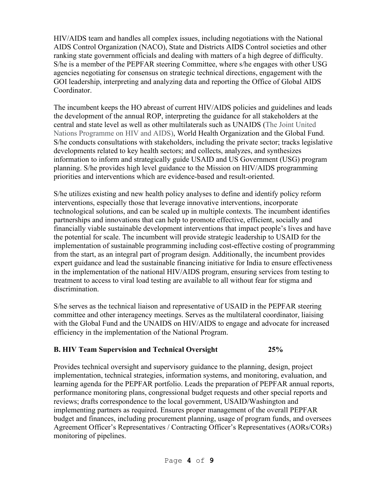HIV/AIDS team and handles all complex issues, including negotiations with the National AIDS Control Organization (NACO), State and Districts AIDS Control societies and other ranking state government officials and dealing with matters of a high degree of difficulty. S/he is a member of the PEPFAR steering Committee, where s/he engages with other USG agencies negotiating for consensus on strategic technical directions, engagement with the GOI leadership, interpreting and analyzing data and reporting the Office of Global AIDS Coordinator.

The incumbent keeps the HO abreast of current HIV/AIDS policies and guidelines and leads the development of the annual ROP, interpreting the guidance for all stakeholders at the central and state level as well as other multilaterals such as UNAIDS (The Joint United Nations Programme on HIV and AIDS), World Health Organization and the Global Fund. S/he conducts consultations with stakeholders, including the private sector; tracks legislative developments related to key health sectors; and collects, analyzes, and synthesizes information to inform and strategically guide USAID and US Government (USG) program planning. S/he provides high level guidance to the Mission on HIV/AIDS programming priorities and interventions which are evidence-based and result-oriented.

S/he utilizes existing and new health policy analyses to define and identify policy reform interventions, especially those that leverage innovative interventions, incorporate technological solutions, and can be scaled up in multiple contexts. The incumbent identifies partnerships and innovations that can help to promote effective, efficient, socially and financially viable sustainable development interventions that impact people's lives and have the potential for scale. The incumbent will provide strategic leadership to USAID for the implementation of sustainable programming including cost-effective costing of programming from the start, as an integral part of program design. Additionally, the incumbent provides expert guidance and lead the sustainable financing initiative for India to ensure effectiveness in the implementation of the national HIV/AIDS program, ensuring services from testing to treatment to access to viral load testing are available to all without fear for stigma and discrimination.

S/he serves as the technical liaison and representative of USAID in the PEPFAR steering committee and other interagency meetings. Serves as the multilateral coordinator, liaising with the Global Fund and the UNAIDS on HIV/AIDS to engage and advocate for increased efficiency in the implementation of the National Program.

## **B. HIV Team Supervision and Technical Oversight 25%**

Provides technical oversight and supervisory guidance to the planning, design, project implementation, technical strategies, information systems, and monitoring, evaluation, and learning agenda for the PEPFAR portfolio. Leads the preparation of PEPFAR annual reports, performance monitoring plans, congressional budget requests and other special reports and reviews; drafts correspondence to the local government, USAID/Washington and implementing partners as required. Ensures proper management of the overall PEPFAR budget and finances, including procurement planning, usage of program funds, and oversees Agreement Officer's Representatives / Contracting Officer's Representatives (AORs/CORs) monitoring of pipelines.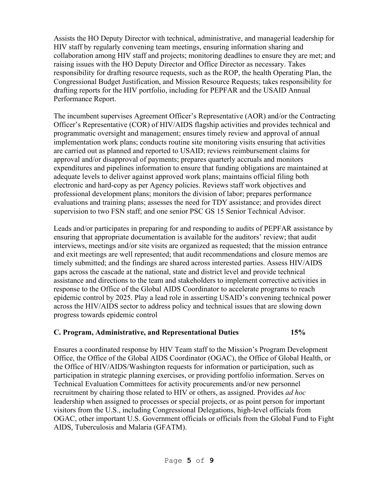Assists the HO Deputy Director with technical, administrative, and managerial leadership for HIV staff by regularly convening team meetings, ensuring information sharing and collaboration among HIV staff and projects; monitoring deadlines to ensure they are met; and raising issues with the HO Deputy Director and Office Director as necessary. Takes responsibility for drafting resource requests, such as the ROP, the health Operating Plan, the Congressional Budget Justification, and Mission Resource Requests; takes responsibility for drafting reports for the HIV portfolio, including for PEPFAR and the USAID Annual Performance Report.

The incumbent supervises Agreement Officer's Representative (AOR) and/or the Contracting Officer's Representative (COR) of HIV/AIDS flagship activities and provides technical and programmatic oversight and management; ensures timely review and approval of annual implementation work plans; conducts routine site monitoring visits ensuring that activities are carried out as planned and reported to USAID; reviews reimbursement claims for approval and/or disapproval of payments; prepares quarterly accruals and monitors expenditures and pipelines information to ensure that funding obligations are maintained at adequate levels to deliver against approved work plans; maintains official filing both electronic and hard-copy as per Agency policies. Reviews staff work objectives and professional development plans; monitors the division of labor; prepares performance evaluations and training plans; assesses the need for TDY assistance; and provides direct supervision to two FSN staff; and one senior PSC GS 15 Senior Technical Advisor.

Leads and/or participates in preparing for and responding to audits of PEPFAR assistance by ensuring that appropriate documentation is available for the auditors' review; that audit interviews, meetings and/or site visits are organized as requested; that the mission entrance and exit meetings are well represented; that audit recommendations and closure memos are timely submitted; and the findings are shared across interested parties. Assess HIV/AIDS gaps across the cascade at the national, state and district level and provide technical assistance and directions to the team and stakeholders to implement corrective activities in response to the Office of the Global AIDS Coordinator to accelerate programs to reach epidemic control by 2025. Play a lead role in asserting USAID's convening technical power across the HIV/AIDS sector to address policy and technical issues that are slowing down progress towards epidemic control

## **C. Program, Administrative, and Representational Duties 15%**

Ensures a coordinated response by HIV Team staff to the Mission's Program Development Office, the Office of the Global AIDS Coordinator (OGAC), the Office of Global Health, or the Office of HIV/AIDS/Washington requests for information or participation, such as participation in strategic planning exercises, or providing portfolio information. Serves on Technical Evaluation Committees for activity procurements and/or new personnel recruitment by chairing those related to HIV or others, as assigned. Provides *ad hoc*  leadership when assigned to processes or special projects, or as point person for important visitors from the U.S., including Congressional Delegations, high-level officials from OGAC, other important U.S. Government officials or officials from the Global Fund to Fight AIDS, Tuberculosis and Malaria (GFATM).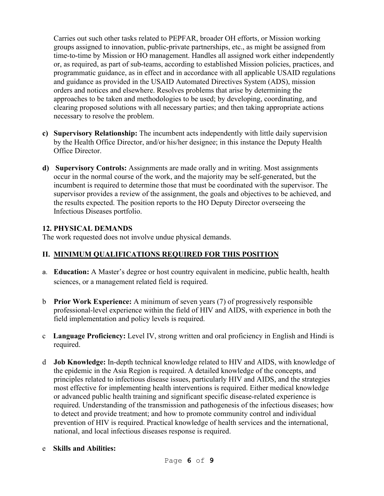Carries out such other tasks related to PEPFAR, broader OH efforts, or Mission working groups assigned to innovation, public-private partnerships, etc., as might be assigned from time-to-time by Mission or HO management. Handles all assigned work either independently or, as required, as part of sub-teams, according to established Mission policies, practices, and programmatic guidance, as in effect and in accordance with all applicable USAID regulations and guidance as provided in the USAID Automated Directives System (ADS), mission orders and notices and elsewhere. Resolves problems that arise by determining the approaches to be taken and methodologies to be used; by developing, coordinating, and clearing proposed solutions with all necessary parties; and then taking appropriate actions necessary to resolve the problem.

- **c) Supervisory Relationship:** The incumbent acts independently with little daily supervision by the Health Office Director, and/or his/her designee; in this instance the Deputy Health Office Director.
- **d) Supervisory Controls:** Assignments are made orally and in writing. Most assignments occur in the normal course of the work, and the majority may be self-generated, but the incumbent is required to determine those that must be coordinated with the supervisor. The supervisor provides a review of the assignment, the goals and objectives to be achieved, and the results expected. The position reports to the HO Deputy Director overseeing the Infectious Diseases portfolio.

## **12. PHYSICAL DEMANDS**

The work requested does not involve undue physical demands.

## **II. MINIMUM QUALIFICATIONS REQUIRED FOR THIS POSITION**

- a. **Education:** A Master's degree or host country equivalent in medicine, public health, health sciences, or a management related field is required.
- b **Prior Work Experience:** A minimum of seven years (7) of progressively responsible professional-level experience within the field of HIV and AIDS, with experience in both the field implementation and policy levels is required.
- c **Language Proficiency:** Level IV, strong written and oral proficiency in English and Hindi is required.
- d **Job Knowledge:** In-depth technical knowledge related to HIV and AIDS, with knowledge of the epidemic in the Asia Region is required. A detailed knowledge of the concepts, and principles related to infectious disease issues, particularly HIV and AIDS, and the strategies most effective for implementing health interventions is required. Either medical knowledge or advanced public health training and significant specific disease-related experience is required. Understanding of the transmission and pathogenesis of the infectious diseases; how to detect and provide treatment; and how to promote community control and individual prevention of HIV is required. Practical knowledge of health services and the international, national, and local infectious diseases response is required.

## e **Skills and Abilities:**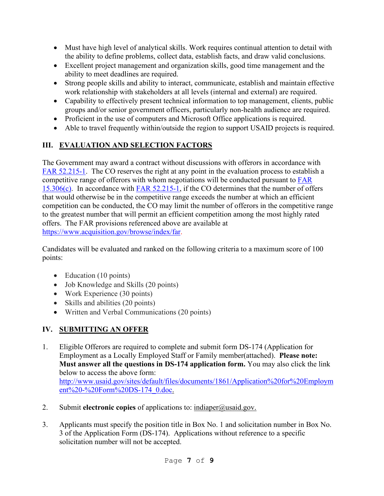- Must have high level of analytical skills. Work requires continual attention to detail with the ability to define problems, collect data, establish facts, and draw valid conclusions.
- Excellent project management and organization skills, good time management and the ability to meet deadlines are required.
- Strong people skills and ability to interact, communicate, establish and maintain effective work relationship with stakeholders at all levels (internal and external) are required.
- Capability to effectively present technical information to top management, clients, public groups and/or senior government officers, particularly non-health audience are required.
- Proficient in the use of computers and Microsoft Office applications is required.
- Able to travel frequently within/outside the region to support USAID projects is required.

# **III. EVALUATION AND SELECTION FACTORS**

The Government may award a contract without discussions with offerors in accordance with [FAR 52.215-1.](https://www.acquisition.gov/browse/index/far) The CO reserves the right at any point in the evaluation process to establish a competitive range of offerors with whom negotiations will be conducted pursuant to [FAR](https://www.acquisition.gov/browse/index/far)  [15.306\(c\).](https://www.acquisition.gov/browse/index/far) In accordance with **FAR 52.215-1**, if the CO determines that the number of offers that would otherwise be in the competitive range exceeds the number at which an efficient competition can be conducted, the CO may limit the number of offerors in the competitive range to the greatest number that will permit an efficient competition among the most highly rated offers. The FAR provisions referenced above are available at [https://www.acquisition.gov/browse/index/far.](https://www.acquisition.gov/browse/index/far)

Candidates will be evaluated and ranked on the following criteria to a maximum score of 100 points:

- Education (10 points)
- Job Knowledge and Skills (20 points)
- Work Experience (30 points)
- Skills and abilities (20 points)
- Written and Verbal Communications (20 points)

# **IV. SUBMITTING AN OFFER**

- 1. Eligible Offerors are required to complete and submit form DS-174 (Application for Employment as a Locally Employed Staff or Family member(attached). **Please note: Must answer all the questions in DS-174 application form.** You may also click the link below to access the above form: [http://www.usaid.gov/sites/default/files/documents/1861/Application%20for%20Employm](http://www.usaid.gov/sites/default/files/documents/1861/Application%20for%20Employment%20-%20Form%20DS-174_0.doc) [ent%20-%20Form%20DS-174\\_0.doc.](http://www.usaid.gov/sites/default/files/documents/1861/Application%20for%20Employment%20-%20Form%20DS-174_0.doc)
- 2. Submit **electronic copies** of applications to: [indiaper@usaid.gov.](mailto:indiaper@usaid.gov)
- 3. Applicants must specify the position title in Box No. 1 and solicitation number in Box No. 3 of the Application Form (DS-174). Applications without reference to a specific solicitation number will not be accepted.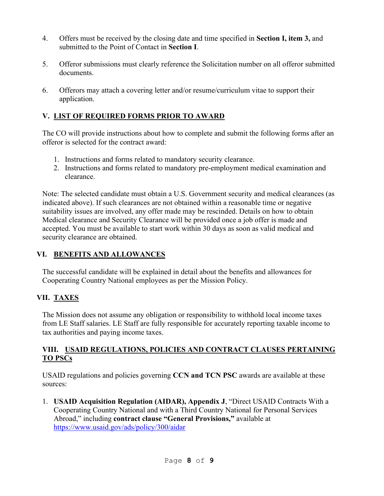- 4. Offers must be received by the closing date and time specified in **Section I, item 3,** and submitted to the Point of Contact in **Section I**.
- 5. Offeror submissions must clearly reference the Solicitation number on all offeror submitted documents.
- 6. Offerors may attach a covering letter and/or resume/curriculum vitae to support their application.

## **V. LIST OF REQUIRED FORMS PRIOR TO AWARD**

The CO will provide instructions about how to complete and submit the following forms after an offeror is selected for the contract award:

- 1. Instructions and forms related to mandatory security clearance.
- 2. Instructions and forms related to mandatory pre-employment medical examination and clearance.

Note: The selected candidate must obtain a U.S. Government security and medical clearances (as indicated above). If such clearances are not obtained within a reasonable time or negative suitability issues are involved, any offer made may be rescinded. Details on how to obtain Medical clearance and Security Clearance will be provided once a job offer is made and accepted. You must be available to start work within 30 days as soon as valid medical and security clearance are obtained.

## **VI. BENEFITS AND ALLOWANCES**

The successful candidate will be explained in detail about the benefits and allowances for Cooperating Country National employees as per the Mission Policy.

## **VII. TAXES**

The Mission does not assume any obligation or responsibility to withhold local income taxes from LE Staff salaries. LE Staff are fully responsible for accurately reporting taxable income to tax authorities and paying income taxes.

## **VIII. USAID REGULATIONS, POLICIES AND CONTRACT CLAUSES PERTAINING TO PSCs**

USAID regulations and policies governing **CCN and TCN PSC** awards are available at these sources:

1. **USAID Acquisition Regulation (AIDAR), Appendix J**, "Direct USAID Contracts With a Cooperating Country National and with a Third Country National for Personal Services Abroad," including **contract clause "General Provisions,"** available at <https://www.usaid.gov/ads/policy/300/aidar>